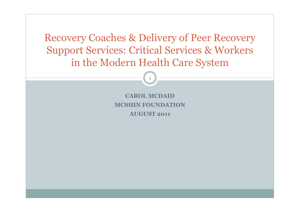Recovery Coaches & Delivery of Peer Recovery Support Services: Critical Services & Workers in the Modern Health Care System

1

**CAROL MCDAID MCSHIN FOUNDATION AUGUST 2011**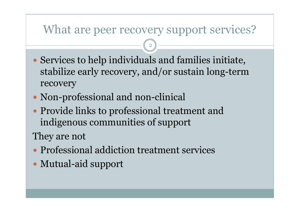# What are peer recovery support services?

2

- Services to help individuals and families initiate, stabilize early recovery, and/or sustain long-term recovery
- Non-professional and non-clinical
- Provide links to professional treatment and indigenous communities of support

They are not

- Professional addiction treatment services
- Mutual-aid support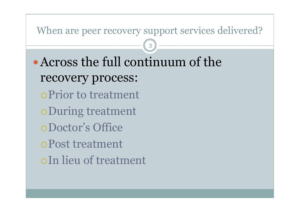### When are peer recovery support services delivered?

3

Across the full continuum of the recovery process: Prior to treatment During treatment Doctor's Office Post treatment In lieu of treatment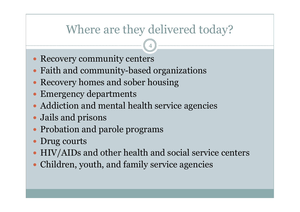# Where are they delivered today?

- Recovery community centers
- Faith and community-based organizations
- Recovery homes and sober housing
- Emergency departments
- Addiction and mental health service agencies
- Jails and prisons
- Probation and parole programs
- Drug courts
- HIV/AIDs and other health and social service centers
- Children, youth, and family service agencies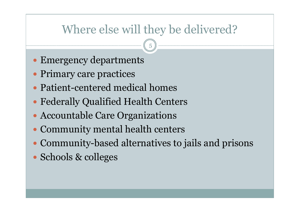# Where else will they be delivered?

- Emergency departments
- Primary care practices
- Patient-centered medical homes
- Federally Qualified Health Centers
- Accountable Care Organizations
- Community mental health centers
- Community-based alternatives to jails and prisons
- Schools & colleges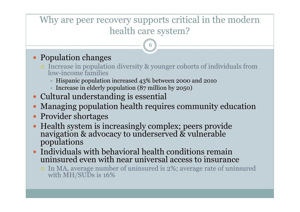### Why are peer recovery supports critical in the modern health care system?

- Population changes
	- Increase in population diversity & younger cohorts of individuals from low-income families
		- Hispanic population increased 43% between 2000 and 2010
		- Increase in elderly population  $(87$  million by 2050)
- Cultural understanding is essential
- Managing population health requires community education
- Provider shortages
- Health system is increasingly complex; peers provide navigation & advocacy to underserved & vulnerable populations
- Individuals with behavioral health conditions remain uninsured even with near universal access to insurance
	- In MA, average number of uninsured is 2%; average rate of uninsured with MH/SUDs is 16%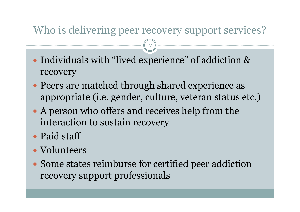## Who is delivering peer recovery support services?

- Individuals with "lived experience" of addiction & recovery
- Peers are matched through shared experience as appropriate (i.e. gender, culture, veteran status etc.)
- A person who offers and receives help from the interaction to sustain recovery
- Paid staff
- Volunteers
- Some states reimburse for certified peer addiction recovery support professionals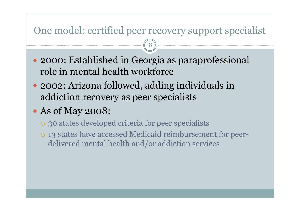### One model: certified peer recovery support specialist

- 2000: Established in Georgia as paraprofessional role in mental health workforce
- 2002: Arizona followed, adding individuals in addiction recovery as peer specialists
- As of May 2008:
	- 30 states developed criteria for peer specialists
	- 13 states have accessed Medicaid reimbursement for peerdelivered mental health and/or addiction services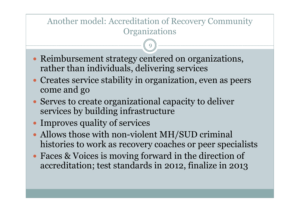#### Another model: Accreditation of Recovery Community **Organizations**

- Reimbursement strategy centered on organizations, rather than individuals, delivering services
- Creates service stability in organization, even as peers come and go
- Serves to create organizational capacity to deliver services by building infrastructure
- Improves quality of services
- Allows those with non-violent MH/SUD criminal histories to work as recovery coaches or peer specialists
- Faces & Voices is moving forward in the direction of accreditation; test standards in 2012, finalize in 2013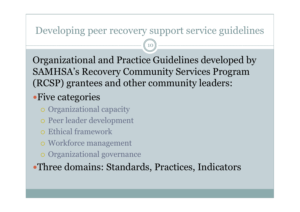#### Developing peer recovery support service guidelines

10

Organizational and Practice Guidelines developed by SAMHSA's Recovery Community Services Program (RCSP) grantees and other community leaders:

### Five categories

- Organizational capacity
- Peer leader development
- Ethical framework
- Workforce management
- Organizational governance

Three domains: Standards, Practices, Indicators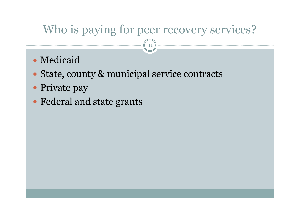# Who is paying for peer recovery services?

- Medicaid
- State, county & municipal service contracts
- Private pay
- Federal and state grants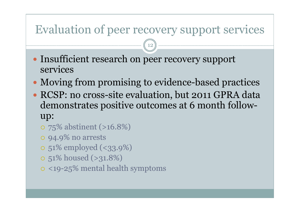# Evaluation of peer recovery support services

- Insufficient research on peer recovery support services
- Moving from promising to evidence-based practices
- RCSP: no cross-site evaluation, but 2011 GPRA data demonstrates positive outcomes at 6 month followup:
	- 75% abstinent (>16.8%)
	- 94.9% no arrests
	- 51% employed (<33.9%)
	- 51% housed (>31.8%)
	- <19-25% mental health symptoms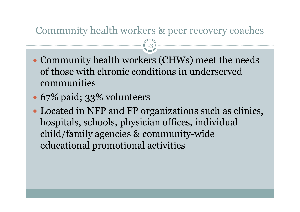#### Community health workers & peer recovery coaches

- Community health workers (CHWs) meet the needs of those with chronic conditions in underserved communities
- 67% paid; 33% volunteers
- Located in NFP and FP organizations such as clinics, hospitals, schools, physician offices, individual child/family agencies & community-wide educational promotional activities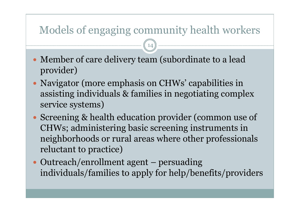# Models of engaging community health workers

- Member of care delivery team (subordinate to a lead provider)
- Navigator (more emphasis on CHWs' capabilities in assisting individuals & families in negotiating complex service systems)
- Screening & health education provider (common use of CHWs; administering basic screening instruments in neighborhoods or rural areas where other professionals reluctant to practice)
- Outreach/enrollment agent persuading individuals/families to apply for help/benefits/providers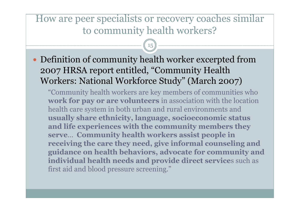### How are peer specialists or recovery coaches similar to community health workers?

15

 Definition of community health worker excerpted from 2007 HRSA report entitled, "Community Health Workers: National Workforce Study" (March 2007)

"Community health workers are key members of communities who **work for pay or are volunteers** in association with the location health care system in both urban and rural environments and **usually share ethnicity, language, socioeconomic status and life experiences with the community members they serve**… **Community health workers assist people in receiving the care they need, give informal counseling and guidance on health behaviors, advocate for community and individual health needs and provide direct service**s such as first aid and blood pressure screening."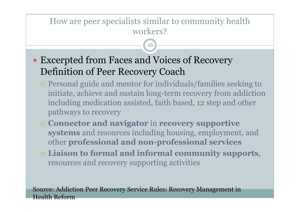#### How are peer specialists similar to community health workers?

16

- Excerpted from Faces and Voices of Recovery Definition of Peer Recovery Coach
	- Personal guide and mentor for individuals/families seeking to initiate, achieve and sustain long-term recovery from addiction including medication assisted, faith based, 12 step and other pathways to recovery
	- **Connector and navigator** in **recovery supportive systems** and resources including housing, employment, and other **professional and non-professional services**
	- **Liaison to formal and informal community supports**, resources and recovery supporting activities

Source: Addiction Peer Recovery Service Rules: Recovery Management in Health Reform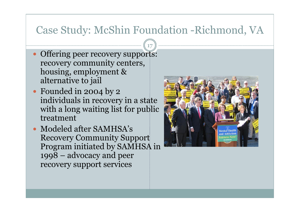## Case Study: McShin Foundation -Richmond, VA

- Offering peer recovery supports: recovery community centers, housing, employment & alternative to jail
- Founded in 2004 by 2 individuals in recovery in a state with a long waiting list for public treatment
- Modeled after SAMHSA's Recovery Community Support Program initiated by SAMHSA in 1998 – advocacy and peer recovery support services

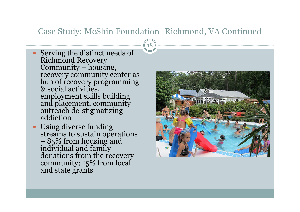#### Case Study: McShin Foundation -Richmond, VA Continued

- Serving the distinct needs of Richmond Recovery Community – housing, recovery community center as hub of recovery programming & social activities, employment skills building and placement, community outreach de-stigmatizing addiction
- Using diverse funding streams to sustain operations – 85% from housing and individual and family donations from the recovery community; 15% from local and state grants

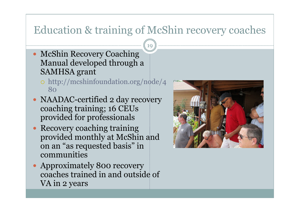# Education & training of McShin recovery coaches

- McShin Recovery Coaching Manual developed through a SAMHSA grant
	- http://mcshinfoundation.org/node/4 80
- NAADAC-certified 2 day recovery coaching training; 16 CEUs provided for professionals
- Recovery coaching training provided monthly at McShin and on an "as requested basis" in communities
- Approximately 800 recovery coaches trained in and outside of VA in 2 years

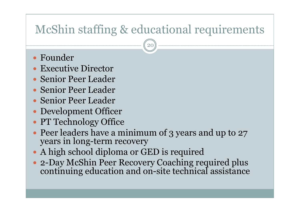# McShin staffing & educational requirements

- Founder
- Executive Director
- Senior Peer Leader
- Senior Peer Leader
- Senior Peer Leader
- Development Officer
- PT Technology Office
- Peer leaders have a minimum of 3 years and up to 27 years in long-term recovery
- A high school diploma or GED is required
- 2-Day McShin Peer Recovery Coaching required plus continuing education and on-site technical assistance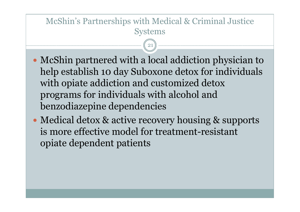#### McShin's Partnerships with Medical & Criminal Justice Systems

- McShin partnered with a local addiction physician to help establish 10 day Suboxone detox for individuals with opiate addiction and customized detox programs for individuals with alcohol and benzodiazepine dependencies
- Medical detox & active recovery housing & supports is more effective model for treatment-resistant opiate dependent patients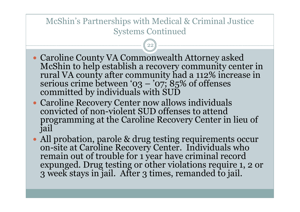#### McShin's Partnerships with Medical & Criminal Justice Systems Continued

- Caroline County VA Commonwealth Attorney asked McShin to help establish a recovery community center in rural VA county after community had a 112% increase in serious crime between '03 – '07;  $85\%$  of offenses committed by individuals with SUD
- Caroline Recovery Center now allows individuals convicted of non-violent SUD offenses to attend programming at the Caroline Recovery Center in lieu of jail
- All probation, parole & drug testing requirements occur on-site at Caroline Recovery Center. Individuals who remain out of trouble for 1 year have criminal record expunged. Drug testing or other violations require 1, 2 or 3 week stays in jail. After 3 times, remanded to jail.